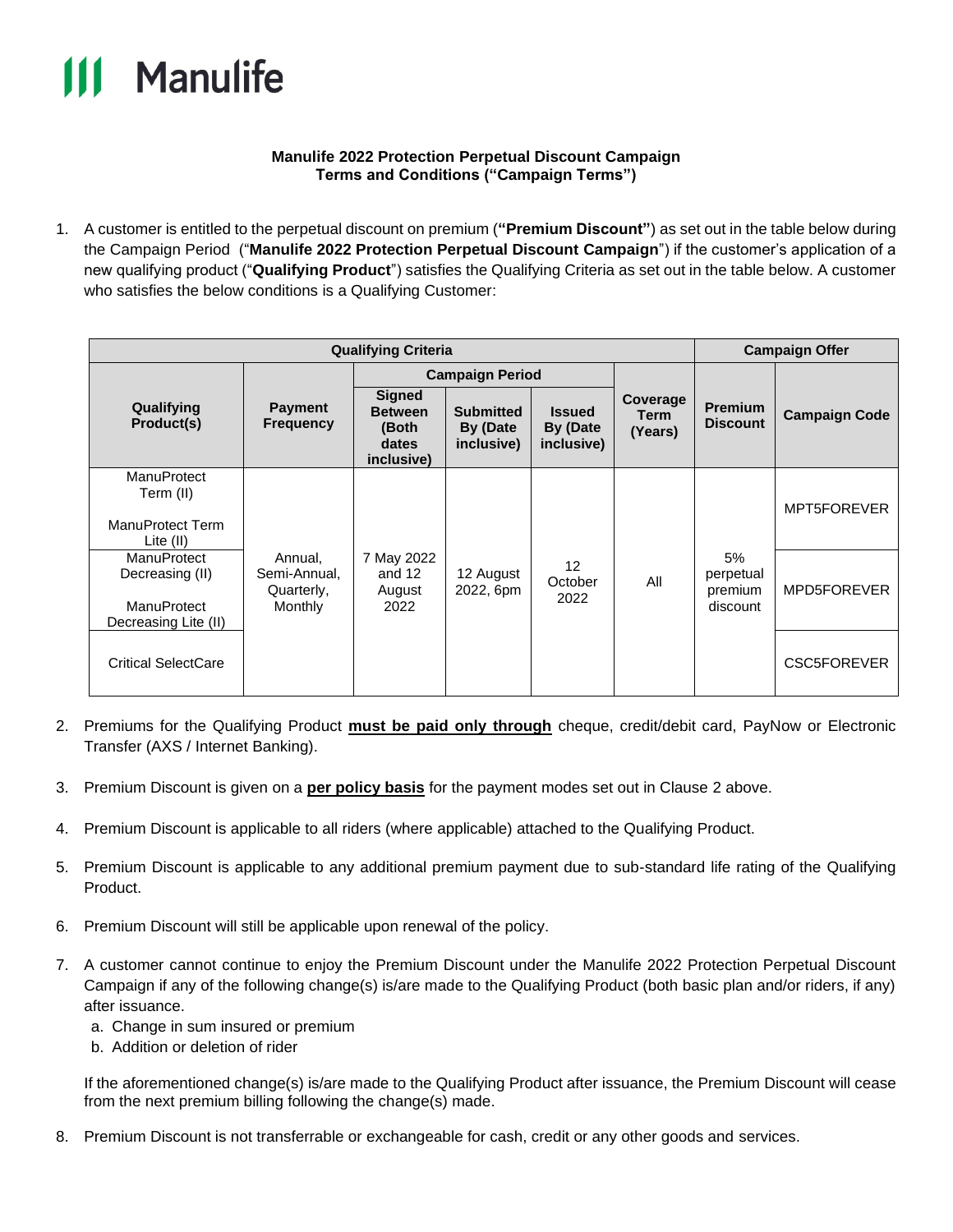

## **Manulife 2022 Protection Perpetual Discount Campaign Terms and Conditions ("Campaign Terms")**

1. A customer is entitled to the perpetual discount on premium (**"Premium Discount"**) as set out in the table below during the Campaign Period ("**Manulife 2022 Protection Perpetual Discount Campaign**") if the customer's application of a new qualifying product ("**Qualifying Product**") satisfies the Qualifying Criteria as set out in the table below. A customer who satisfies the below conditions is a Qualifying Customer:

| <b>Qualifying Criteria</b>                                            |                                                  |                                                                 |                                            |                                         |                                    | <b>Campaign Offer</b>                  |                      |
|-----------------------------------------------------------------------|--------------------------------------------------|-----------------------------------------------------------------|--------------------------------------------|-----------------------------------------|------------------------------------|----------------------------------------|----------------------|
| Qualifying<br>Product(s)                                              |                                                  | <b>Campaign Period</b>                                          |                                            |                                         |                                    |                                        |                      |
|                                                                       | <b>Payment</b><br><b>Frequency</b>               | <b>Signed</b><br><b>Between</b><br>(Both<br>dates<br>inclusive) | <b>Submitted</b><br>By (Date<br>inclusive) | <b>Issued</b><br>By (Date<br>inclusive) | Coverage<br><b>Term</b><br>(Years) | <b>Premium</b><br><b>Discount</b>      | <b>Campaign Code</b> |
| <b>ManuProtect</b><br>Term (II)<br>ManuProtect Term<br>Lite $(II)$    | Annual,<br>Semi-Annual,<br>Quarterly,<br>Monthly | 7 May 2022<br>and 12<br>August<br>2022                          | 12 August<br>2022, 6pm                     | 12<br>October<br>2022                   | All                                | 5%<br>perpetual<br>premium<br>discount | MPT5FOREVER          |
| ManuProtect<br>Decreasing (II)<br>ManuProtect<br>Decreasing Lite (II) |                                                  |                                                                 |                                            |                                         |                                    |                                        | MPD5FOREVER          |
| Critical SelectCare                                                   |                                                  |                                                                 |                                            |                                         |                                    |                                        | <b>CSC5FOREVER</b>   |

- 2. Premiums for the Qualifying Product **must be paid only through** cheque, credit/debit card, PayNow or Electronic Transfer (AXS / Internet Banking).
- 3. Premium Discount is given on a **per policy basis** for the payment modes set out in Clause 2 above.
- 4. Premium Discount is applicable to all riders (where applicable) attached to the Qualifying Product.
- 5. Premium Discount is applicable to any additional premium payment due to sub-standard life rating of the Qualifying Product.
- 6. Premium Discount will still be applicable upon renewal of the policy.
- 7. A customer cannot continue to enjoy the Premium Discount under the Manulife 2022 Protection Perpetual Discount Campaign if any of the following change(s) is/are made to the Qualifying Product (both basic plan and/or riders, if any) after issuance.
	- a. Change in sum insured or premium
	- b. Addition or deletion of rider

If the aforementioned change(s) is/are made to the Qualifying Product after issuance, the Premium Discount will cease from the next premium billing following the change(s) made.

8. Premium Discount is not transferrable or exchangeable for cash, credit or any other goods and services.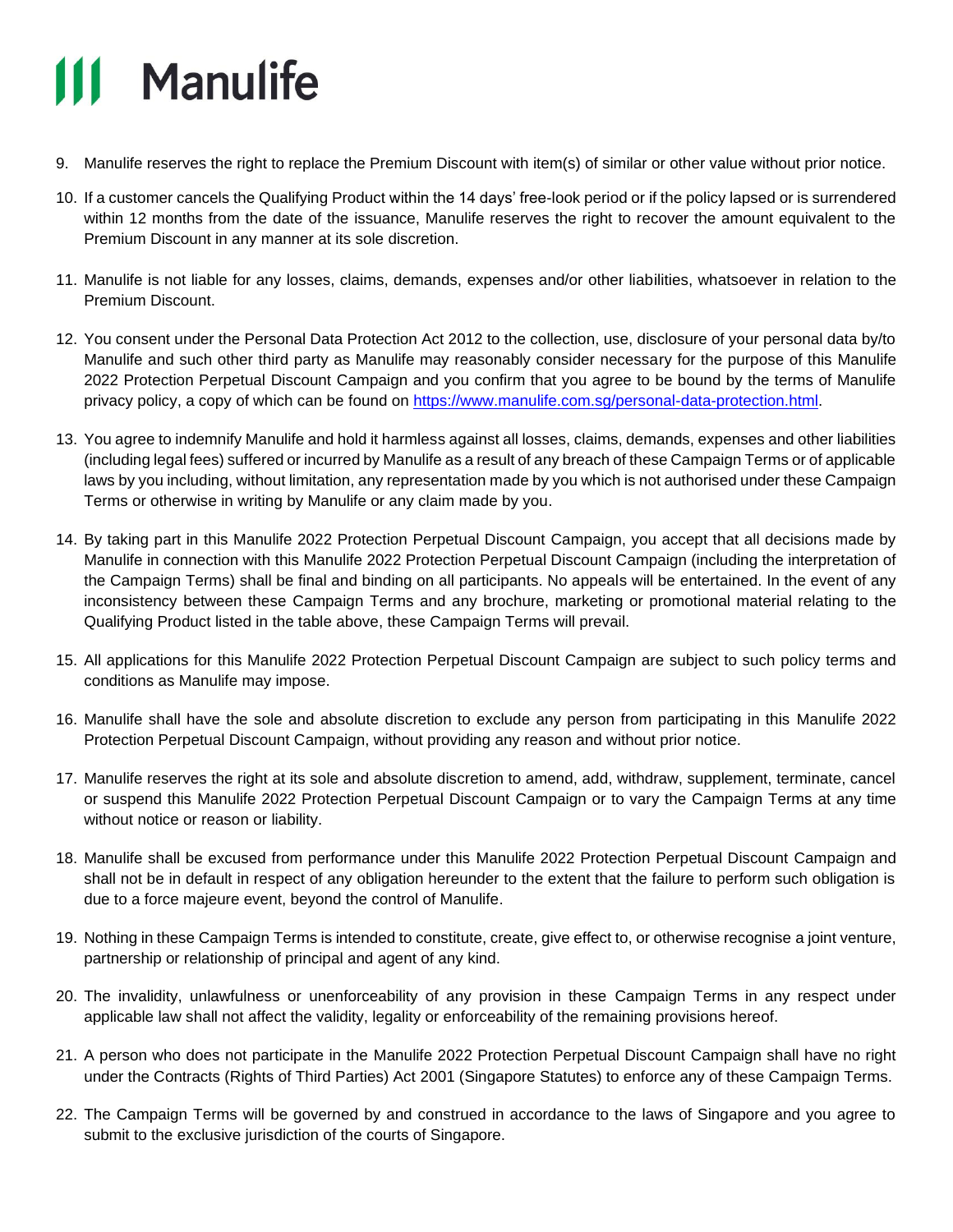## **111 Manulife**

- 9. Manulife reserves the right to replace the Premium Discount with item(s) of similar or other value without prior notice.
- 10. If a customer cancels the Qualifying Product within the 14 days' free-look period or if the policy lapsed or is surrendered within 12 months from the date of the issuance, Manulife reserves the right to recover the amount equivalent to the Premium Discount in any manner at its sole discretion.
- 11. Manulife is not liable for any losses, claims, demands, expenses and/or other liabilities, whatsoever in relation to the Premium Discount.
- 12. You consent under the Personal Data Protection Act 2012 to the collection, use, disclosure of your personal data by/to Manulife and such other third party as Manulife may reasonably consider necessary for the purpose of this Manulife 2022 Protection Perpetual Discount Campaign and you confirm that you agree to be bound by the terms of Manulife privacy policy, a copy of which can be found on [https://www.manulife.com.sg/personal-data-protection.html.](https://www.manulife.com.sg/personal-data-protection.html)
- 13. You agree to indemnify Manulife and hold it harmless against all losses, claims, demands, expenses and other liabilities (including legal fees) suffered or incurred by Manulife as a result of any breach of these Campaign Terms or of applicable laws by you including, without limitation, any representation made by you which is not authorised under these Campaign Terms or otherwise in writing by Manulife or any claim made by you.
- 14. By taking part in this Manulife 2022 Protection Perpetual Discount Campaign, you accept that all decisions made by Manulife in connection with this Manulife 2022 Protection Perpetual Discount Campaign (including the interpretation of the Campaign Terms) shall be final and binding on all participants. No appeals will be entertained. In the event of any inconsistency between these Campaign Terms and any brochure, marketing or promotional material relating to the Qualifying Product listed in the table above, these Campaign Terms will prevail.
- 15. All applications for this Manulife 2022 Protection Perpetual Discount Campaign are subject to such policy terms and conditions as Manulife may impose.
- 16. Manulife shall have the sole and absolute discretion to exclude any person from participating in this Manulife 2022 Protection Perpetual Discount Campaign, without providing any reason and without prior notice.
- 17. Manulife reserves the right at its sole and absolute discretion to amend, add, withdraw, supplement, terminate, cancel or suspend this Manulife 2022 Protection Perpetual Discount Campaign or to vary the Campaign Terms at any time without notice or reason or liability.
- 18. Manulife shall be excused from performance under this Manulife 2022 Protection Perpetual Discount Campaign and shall not be in default in respect of any obligation hereunder to the extent that the failure to perform such obligation is due to a force majeure event, beyond the control of Manulife.
- 19. Nothing in these Campaign Terms is intended to constitute, create, give effect to, or otherwise recognise a joint venture, partnership or relationship of principal and agent of any kind.
- 20. The invalidity, unlawfulness or unenforceability of any provision in these Campaign Terms in any respect under applicable law shall not affect the validity, legality or enforceability of the remaining provisions hereof.
- 21. A person who does not participate in the Manulife 2022 Protection Perpetual Discount Campaign shall have no right under the Contracts (Rights of Third Parties) Act 2001 (Singapore Statutes) to enforce any of these Campaign Terms.
- 22. The Campaign Terms will be governed by and construed in accordance to the laws of Singapore and you agree to submit to the exclusive jurisdiction of the courts of Singapore.